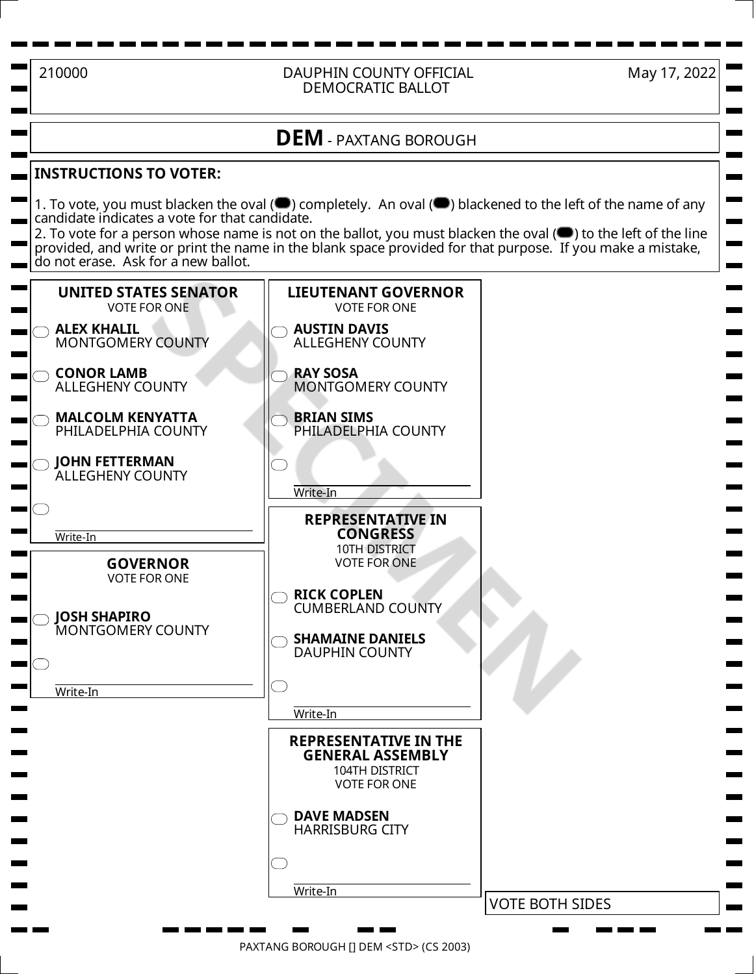## 210000 DAUPHIN COUNTY OFFICIAL DEMOCRATIC BALLOT

May 17, 2022

## **DEM** - PAXTANG BOROUGH

## **INSTRUCTIONS TO VOTER:**

1. To vote, you must blacken the oval (O) completely. An oval (O) blackened to the left of the name of any candidate indicates a vote for that candidate.

2. To vote for a person whose name is not on the ballot, you must blacken the oval  $($  ) to the left of the line provided, and write or print the name in the blank space provided for that purpose. If you make a mistake, do not erase. Ask for a new ballot.